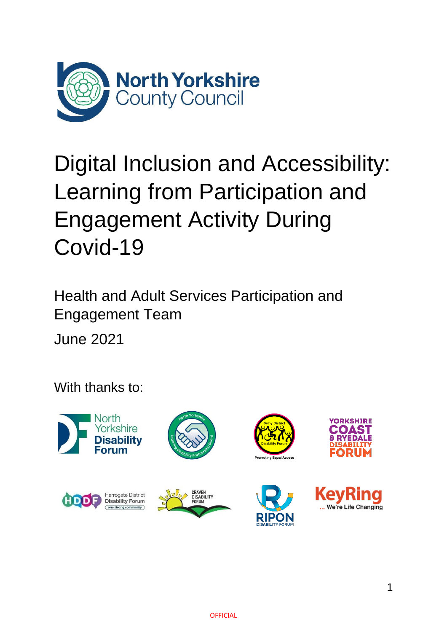

# Digital Inclusion and Accessibility: Learning from Participation and Engagement Activity During Covid-19

Health and Adult Services Participation and Engagement Team

June 2021

With thanks to:

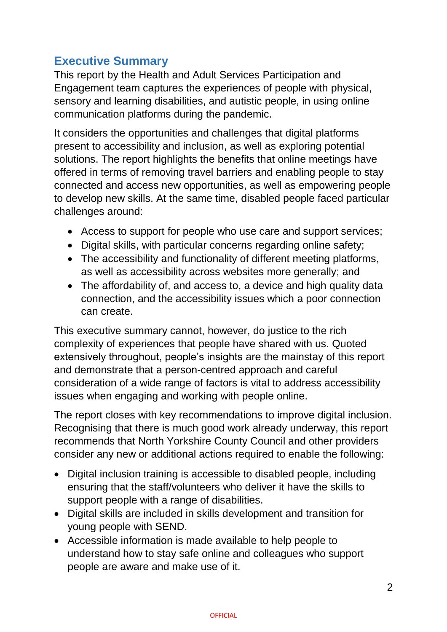# **Executive Summary**

This report by the Health and Adult Services Participation and Engagement team captures the experiences of people with physical, sensory and learning disabilities, and autistic people, in using online communication platforms during the pandemic.

It considers the opportunities and challenges that digital platforms present to accessibility and inclusion, as well as exploring potential solutions. The report highlights the benefits that online meetings have offered in terms of removing travel barriers and enabling people to stay connected and access new opportunities, as well as empowering people to develop new skills. At the same time, disabled people faced particular challenges around:

- Access to support for people who use care and support services;
- Digital skills, with particular concerns regarding online safety;
- The accessibility and functionality of different meeting platforms, as well as accessibility across websites more generally; and
- The affordability of, and access to, a device and high quality data connection, and the accessibility issues which a poor connection can create.

This executive summary cannot, however, do justice to the rich complexity of experiences that people have shared with us. Quoted extensively throughout, people's insights are the mainstay of this report and demonstrate that a person-centred approach and careful consideration of a wide range of factors is vital to address accessibility issues when engaging and working with people online.

The report closes with key recommendations to improve digital inclusion. Recognising that there is much good work already underway, this report recommends that North Yorkshire County Council and other providers consider any new or additional actions required to enable the following:

- Digital inclusion training is accessible to disabled people, including ensuring that the staff/volunteers who deliver it have the skills to support people with a range of disabilities.
- Digital skills are included in skills development and transition for young people with SEND.
- Accessible information is made available to help people to understand how to stay safe online and colleagues who support people are aware and make use of it.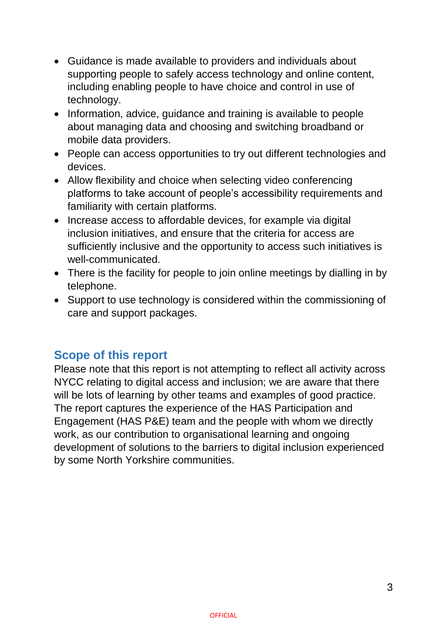- Guidance is made available to providers and individuals about supporting people to safely access technology and online content, including enabling people to have choice and control in use of technology.
- Information, advice, guidance and training is available to people about managing data and choosing and switching broadband or mobile data providers.
- People can access opportunities to try out different technologies and devices.
- Allow flexibility and choice when selecting video conferencing platforms to take account of people's accessibility requirements and familiarity with certain platforms.
- Increase access to affordable devices, for example via digital inclusion initiatives, and ensure that the criteria for access are sufficiently inclusive and the opportunity to access such initiatives is well-communicated.
- There is the facility for people to join online meetings by dialling in by telephone.
- Support to use technology is considered within the commissioning of care and support packages.

## **Scope of this report**

Please note that this report is not attempting to reflect all activity across NYCC relating to digital access and inclusion; we are aware that there will be lots of learning by other teams and examples of good practice. The report captures the experience of the HAS Participation and Engagement (HAS P&E) team and the people with whom we directly work, as our contribution to organisational learning and ongoing development of solutions to the barriers to digital inclusion experienced by some North Yorkshire communities.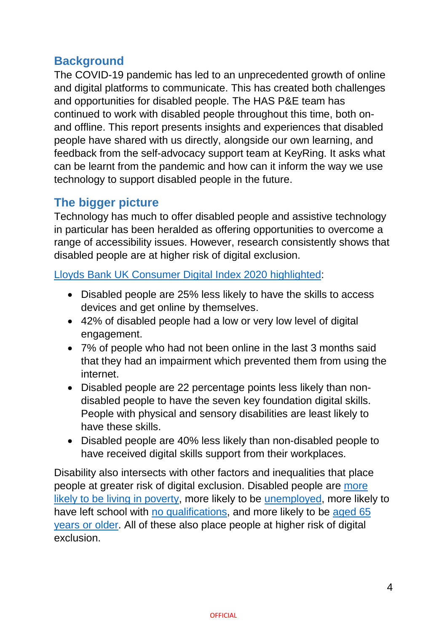# **Background**

The COVID-19 pandemic has led to an unprecedented growth of online and digital platforms to communicate. This has created both challenges and opportunities for disabled people. The HAS P&E team has continued to work with disabled people throughout this time, both onand offline. This report presents insights and experiences that disabled people have shared with us directly, alongside our own learning, and feedback from the self-advocacy support team at KeyRing. It asks what can be learnt from the pandemic and how can it inform the way we use technology to support disabled people in the future.

## **The bigger picture**

Technology has much to offer disabled people and assistive technology in particular has been heralded as offering opportunities to overcome a range of accessibility issues. However, research consistently shows that disabled people are at higher risk of digital exclusion.

Lloyds Bank UK Consumer [Digital Index 2020 highlighted:](https://www.lloydsbank.com/assets/media/pdfs/banking_with_us/whats-happening/lb-consumer-digital-index-2020-report.pdf)

- Disabled people are 25% less likely to have the skills to access devices and get online by themselves.
- 42% of disabled people had a low or very low level of digital engagement.
- 7% of people who had not been online in the last 3 months said that they had an impairment which prevented them from using the internet.
- Disabled people are 22 percentage points less likely than nondisabled people to have the seven key foundation digital skills. People with physical and sensory disabilities are least likely to have these skills.
- Disabled people are 40% less likely than non-disabled people to have received digital skills support from their workplaces.

Disability also intersects with other factors and inequalities that place people at greater risk of digital exclusion. Disabled people are [more](https://www.jrf.org.uk/data/poverty-rates-families-disabled-person)  [likely to be living in poverty,](https://www.jrf.org.uk/data/poverty-rates-families-disabled-person) more likely to be [unemployed,](https://commonslibrary.parliament.uk/research-briefings/cbp-7540/) more likely to have left school with [no qualifications,](https://www.ons.gov.uk/peoplepopulationandcommunity/healthandsocialcare/disability/bulletins/disabilityandeducationuk/2019) and more likely to be [aged 65](https://www.gov.uk/government/publications/disability-facts-and-figures/disability-facts-and-figures)  [years or](https://www.gov.uk/government/publications/disability-facts-and-figures/disability-facts-and-figures) older. All of these also place people at higher risk of digital exclusion.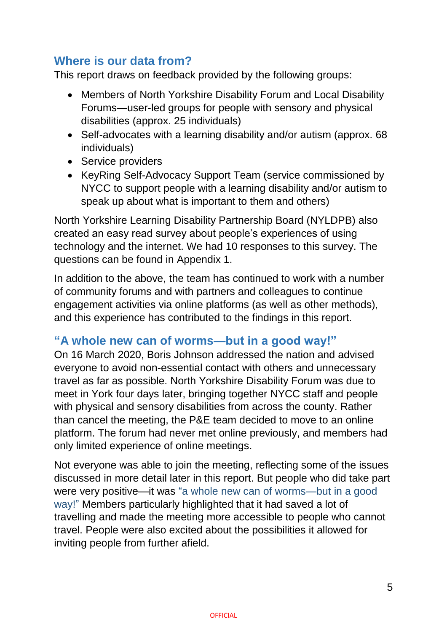# **Where is our data from?**

This report draws on feedback provided by the following groups:

- Members of North Yorkshire Disability Forum and Local Disability Forums—user-led groups for people with sensory and physical disabilities (approx. 25 individuals)
- Self-advocates with a learning disability and/or autism (approx. 68 individuals)
- Service providers
- KeyRing Self-Advocacy Support Team (service commissioned by NYCC to support people with a learning disability and/or autism to speak up about what is important to them and others)

North Yorkshire Learning Disability Partnership Board (NYLDPB) also created an easy read survey about people's experiences of using technology and the internet. We had 10 responses to this survey. The questions can be found in Appendix 1.

In addition to the above, the team has continued to work with a number of community forums and with partners and colleagues to continue engagement activities via online platforms (as well as other methods), and this experience has contributed to the findings in this report.

#### **"A whole new can of worms—but in a good way!"**

On 16 March 2020, Boris Johnson addressed the nation and advised everyone to avoid non-essential contact with others and unnecessary travel as far as possible. North Yorkshire Disability Forum was due to meet in York four days later, bringing together NYCC staff and people with physical and sensory disabilities from across the county. Rather than cancel the meeting, the P&E team decided to move to an online platform. The forum had never met online previously, and members had only limited experience of online meetings.

Not everyone was able to join the meeting, reflecting some of the issues discussed in more detail later in this report. But people who did take part were very positive—it was "a whole new can of worms—but in a good way!" Members particularly highlighted that it had saved a lot of travelling and made the meeting more accessible to people who cannot travel. People were also excited about the possibilities it allowed for inviting people from further afield.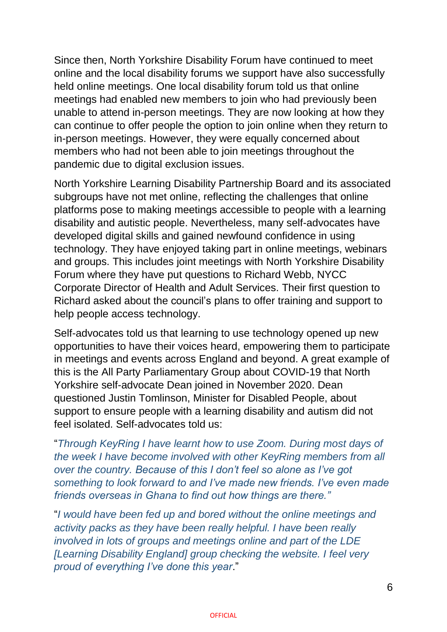Since then, North Yorkshire Disability Forum have continued to meet online and the local disability forums we support have also successfully held online meetings. One local disability forum told us that online meetings had enabled new members to join who had previously been unable to attend in-person meetings. They are now looking at how they can continue to offer people the option to join online when they return to in-person meetings. However, they were equally concerned about members who had not been able to join meetings throughout the pandemic due to digital exclusion issues.

North Yorkshire Learning Disability Partnership Board and its associated subgroups have not met online, reflecting the challenges that online platforms pose to making meetings accessible to people with a learning disability and autistic people. Nevertheless, many self-advocates have developed digital skills and gained newfound confidence in using technology. They have enjoyed taking part in online meetings, webinars and groups. This includes joint meetings with North Yorkshire Disability Forum where they have put questions to Richard Webb, NYCC Corporate Director of Health and Adult Services. Their first question to Richard asked about the council's plans to offer training and support to help people access technology.

Self-advocates told us that learning to use technology opened up new opportunities to have their voices heard, empowering them to participate in meetings and events across England and beyond. A great example of this is the All Party Parliamentary Group about COVID-19 that North Yorkshire self-advocate Dean joined in November 2020. Dean questioned Justin Tomlinson, Minister for Disabled People, about support to ensure people with a learning disability and autism did not feel isolated. Self-advocates told us:

"*Through KeyRing I have learnt how to use Zoom. During most days of the week I have become involved with other KeyRing members from all over the country. Because of this I don't feel so alone as I've got something to look forward to and I've made new friends. I've even made friends overseas in Ghana to find out how things are there."*

"*I would have been fed up and bored without the online meetings and activity packs as they have been really helpful. I have been really involved in lots of groups and meetings online and part of the LDE [Learning Disability England] group checking the website. I feel very proud of everything I've done this year*."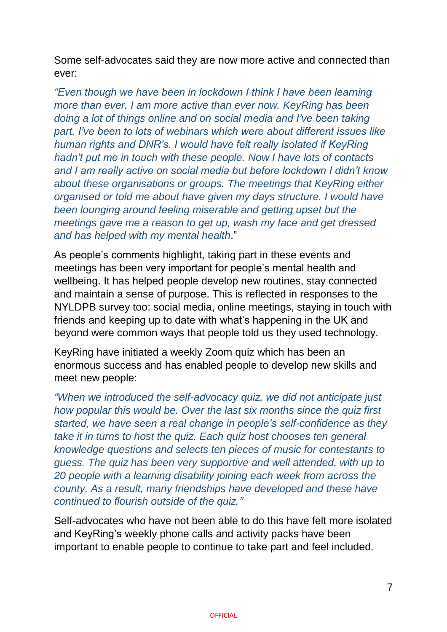Some self-advocates said they are now more active and connected than ever:

*"Even though we have been in lockdown I think I have been learning more than ever. I am more active than ever now. KeyRing has been doing a lot of things online and on social media and I've been taking part. I've been to lots of webinars which were about different issues like human rights and DNR's. I would have felt really isolated if KeyRing hadn't put me in touch with these people. Now I have lots of contacts and I am really active on social media but before lockdown I didn't know about these organisations or groups. The meetings that KeyRing either organised or told me about have given my days structure. I would have been lounging around feeling miserable and getting upset but the meetings gave me a reason to get up, wash my face and get dressed and has helped with my mental health*."

As people's comments highlight, taking part in these events and meetings has been very important for people's mental health and wellbeing. It has helped people develop new routines, stay connected and maintain a sense of purpose. This is reflected in responses to the NYLDPB survey too: social media, online meetings, staying in touch with friends and keeping up to date with what's happening in the UK and beyond were common ways that people told us they used technology.

KeyRing have initiated a weekly Zoom quiz which has been an enormous success and has enabled people to develop new skills and meet new people:

*"When we introduced the self-advocacy quiz, we did not anticipate just how popular this would be. Over the last six months since the quiz first started, we have seen a real change in people's self-confidence as they take it in turns to host the quiz. Each quiz host chooses ten general knowledge questions and selects ten pieces of music for contestants to guess. The quiz has been very supportive and well attended, with up to 20 people with a learning disability joining each week from across the county. As a result, many friendships have developed and these have continued to flourish outside of the quiz."*

Self-advocates who have not been able to do this have felt more isolated and KeyRing's weekly phone calls and activity packs have been important to enable people to continue to take part and feel included.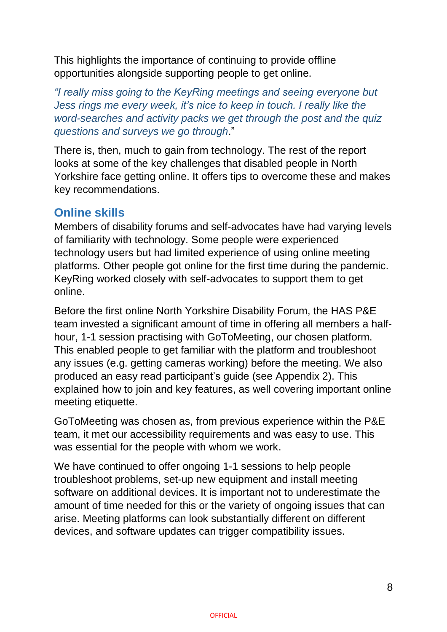This highlights the importance of continuing to provide offline opportunities alongside supporting people to get online.

*"I really miss going to the KeyRing meetings and seeing everyone but Jess rings me every week, it's nice to keep in touch. I really like the word-searches and activity packs we get through the post and the quiz questions and surveys we go through*."

There is, then, much to gain from technology. The rest of the report looks at some of the key challenges that disabled people in North Yorkshire face getting online. It offers tips to overcome these and makes key recommendations.

## **Online skills**

Members of disability forums and self-advocates have had varying levels of familiarity with technology. Some people were experienced technology users but had limited experience of using online meeting platforms. Other people got online for the first time during the pandemic. KeyRing worked closely with self-advocates to support them to get online.

Before the first online North Yorkshire Disability Forum, the HAS P&E team invested a significant amount of time in offering all members a halfhour, 1-1 session practising with GoToMeeting, our chosen platform. This enabled people to get familiar with the platform and troubleshoot any issues (e.g. getting cameras working) before the meeting. We also produced an easy read participant's guide (see Appendix 2). This explained how to join and key features, as well covering important online meeting etiquette.

GoToMeeting was chosen as, from previous experience within the P&E team, it met our accessibility requirements and was easy to use. This was essential for the people with whom we work.

We have continued to offer ongoing 1-1 sessions to help people troubleshoot problems, set-up new equipment and install meeting software on additional devices. It is important not to underestimate the amount of time needed for this or the variety of ongoing issues that can arise. Meeting platforms can look substantially different on different devices, and software updates can trigger compatibility issues.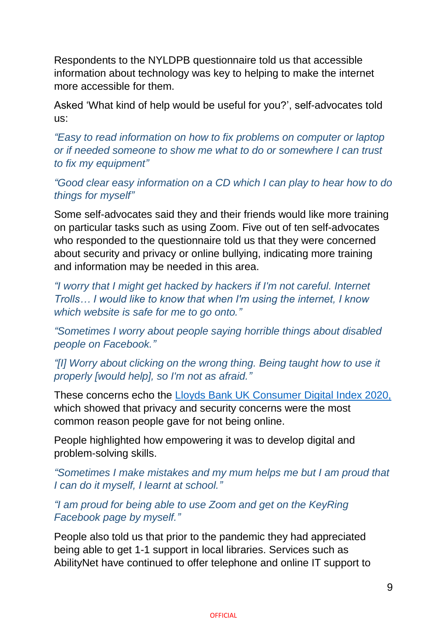Respondents to the NYLDPB questionnaire told us that accessible information about technology was key to helping to make the internet more accessible for them.

Asked 'What kind of help would be useful for you?', self-advocates told us:

*"Easy to read information on how to fix problems on computer or laptop or if needed someone to show me what to do or somewhere I can trust to fix my equipment"*

*"Good clear easy information on a CD which I can play to hear how to do things for myself"*

Some self-advocates said they and their friends would like more training on particular tasks such as using Zoom. Five out of ten self-advocates who responded to the questionnaire told us that they were concerned about security and privacy or online bullying, indicating more training and information may be needed in this area.

*"I worry that I might get hacked by hackers if I'm not careful. Internet Trolls… I would like to know that when I'm using the internet, I know which website is safe for me to go onto."*

*"Sometimes I worry about people saying horrible things about disabled people on Facebook."*

*"[I] Worry about clicking on the wrong thing. Being taught how to use it properly [would help], so I'm not as afraid."*

These concerns echo the [Lloyds Bank UK Consumer](https://www.lloydsbank.com/assets/media/pdfs/banking_with_us/whats-happening/lb-consumer-digital-index-2020-report.pdf) Digital Index 2020, which showed that privacy and security concerns were the most common reason people gave for not being online.

People highlighted how empowering it was to develop digital and problem-solving skills.

*"Sometimes I make mistakes and my mum helps me but I am proud that I can do it myself, I learnt at school."*

*"I am proud for being able to use Zoom and get on the KeyRing Facebook page by myself."*

People also told us that prior to the pandemic they had appreciated being able to get 1-1 support in local libraries. Services such as AbilityNet have continued to offer telephone and online IT support to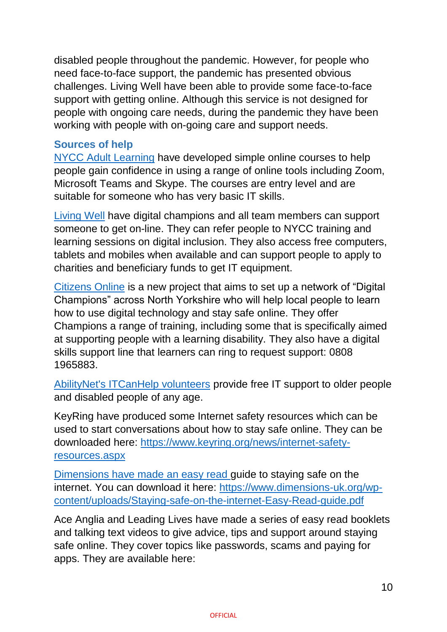disabled people throughout the pandemic. However, for people who need face-to-face support, the pandemic has presented obvious challenges. Living Well have been able to provide some face-to-face support with getting online. Although this service is not designed for people with ongoing care needs, during the pandemic they have been working with people with on-going care and support needs.

### **Sources of help**

[NYCC Adult Learning](https://ebsontrackprospect.northyorks.gov.uk/Page/ProspectusList?search_TOPIC_operator=Equals&search_TOPIC_type=String&search_TOPIC_value=ICT) have developed simple online courses to help people gain confidence in using a range of online tools including Zoom, Microsoft Teams and Skype. The courses are entry level and are suitable for someone who has very basic IT skills.

[Living Well](https://www.northyorks.gov.uk/living-well-north-yorkshire) have digital champions and all team members can support someone to get on-line. They can refer people to NYCC training and learning sessions on digital inclusion. They also access free computers, tablets and mobiles when available and can support people to apply to charities and beneficiary funds to get IT equipment.

[Citizens Online](https://www.citizensonline.org.uk/) is a new project that aims to set up a network of "Digital Champions" across North Yorkshire who will help local people to learn how to use digital technology and stay safe online. They offer Champions a range of training, including some that is specifically aimed at supporting people with a learning disability. They also have a digital skills support line that learners can ring to request support: 0808 1965883.

[AbilityNet's ITCanHelp volunteers](https://abilitynet.org.uk/at-home/request-free-it-support-home) provide free IT support to older people and disabled people of any age.

KeyRing have produced some Internet safety resources which can be used to start conversations about how to stay safe online. They can be downloaded here: [https://www.keyring.org/news/internet-safety](https://www.keyring.org/news/internet-safety-resources.aspx)[resources.aspx](https://www.keyring.org/news/internet-safety-resources.aspx)

Dimensions have made an easy read guide to staying safe on the internet. You can download it here: [https://www.dimensions-uk.org/wp](https://www.dimensions-uk.org/wp-content/uploads/Staying-safe-on-the-internet-Easy-Read-guide.pdf)[content/uploads/Staying-safe-on-the-internet-Easy-Read-guide.pdf](https://www.dimensions-uk.org/wp-content/uploads/Staying-safe-on-the-internet-Easy-Read-guide.pdf)

Ace Anglia and Leading Lives have made a series of easy read booklets and talking text videos to give advice, tips and support around staying safe online. They cover topics like passwords, scams and paying for apps. They are available here: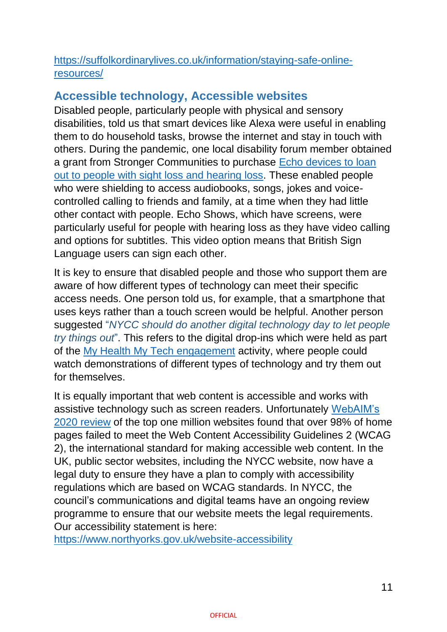### [https://suffolkordinarylives.co.uk/information/staying-safe-online](https://suffolkordinarylives.co.uk/information/staying-safe-online-resources/)[resources/](https://suffolkordinarylives.co.uk/information/staying-safe-online-resources/)

# **Accessible technology, Accessible websites**

Disabled people, particularly people with physical and sensory disabilities, told us that smart devices like Alexa were useful in enabling them to do household tasks, browse the internet and stay in touch with others. During the pandemic, one local disability forum member obtained a grant from Stronger Communities to purchase [Echo devices to loan](https://www.northyorks.gov.uk/everyone-together-and-no-one-left-behind)  [out to people with sight loss and hearing loss.](https://www.northyorks.gov.uk/everyone-together-and-no-one-left-behind) These enabled people who were shielding to access audiobooks, songs, jokes and voicecontrolled calling to friends and family, at a time when they had little other contact with people. Echo Shows, which have screens, were particularly useful for people with hearing loss as they have video calling and options for subtitles. This video option means that British Sign Language users can sign each other.

It is key to ensure that disabled people and those who support them are aware of how different types of technology can meet their specific access needs. One person told us, for example, that a smartphone that uses keys rather than a touch screen would be helpful. Another person suggested "*NYCC should do another digital technology day to let people try things out*". This refers to the digital drop-ins which were held as part of the [My Health My Tech engagement](https://www.nypartnerships.org.uk/sites/default/files/Partnership%20files/Health%20and%20wellbeing/Health%20and%20Wellbeing%20Board/My%20Health%20My%20Tech%20engagement%20report%20final%20March%202019.pdf) activity, where people could watch demonstrations of different types of technology and try them out for themselves.

It is equally important that web content is accessible and works with assistive technology such as screen readers. Unfortunately [WebAIM's](https://webaim.org/projects/million/)  [2020 review](https://webaim.org/projects/million/) of the top one million websites found that over 98% of home pages failed to meet the Web Content Accessibility Guidelines 2 (WCAG 2), the international standard for making accessible web content. In the UK, public sector websites, including the NYCC website, now have a legal duty to ensure they have a plan to comply with accessibility regulations which are based on WCAG standards. In NYCC, the council's communications and digital teams have an ongoing review programme to ensure that our website meets the legal requirements. Our accessibility statement is here:

<https://www.northyorks.gov.uk/website-accessibility>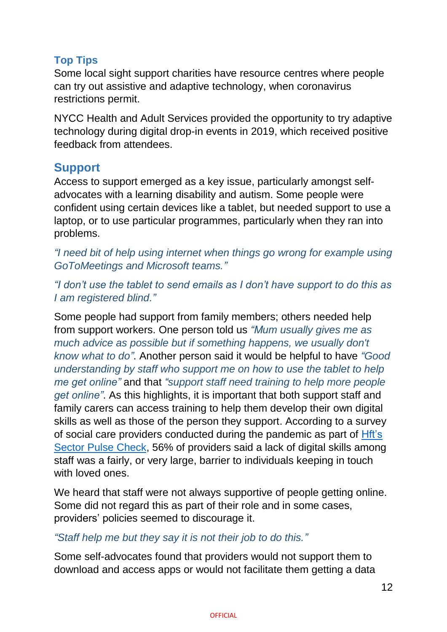## **Top Tips**

Some local sight support charities have resource centres where people can try out assistive and adaptive technology, when coronavirus restrictions permit.

NYCC Health and Adult Services provided the opportunity to try adaptive technology during digital drop-in events in 2019, which received positive feedback from attendees.

## **Support**

Access to support emerged as a key issue, particularly amongst selfadvocates with a learning disability and autism. Some people were confident using certain devices like a tablet, but needed support to use a laptop, or to use particular programmes, particularly when they ran into problems.

*"I need bit of help using internet when things go wrong for example using GoToMeetings and Microsoft teams."*

*"I don't use the tablet to send emails as I don't have support to do this as I am registered blind."*

Some people had support from family members; others needed help from support workers. One person told us *"Mum usually gives me as much advice as possible but if something happens, we usually don't know what to do"*. Another person said it would be helpful to have *"Good understanding by staff who support me on how to use the tablet to help me get online"* and that *"support staff need training to help more people get online"*. As this highlights, it is important that both support staff and family carers can access training to help them develop their own digital skills as well as those of the person they support. According to a survey of social care providers conducted during the pandemic as part of [Hft's](https://www.hft.org.uk/spc-for-2020/)  [Sector Pulse Check,](https://www.hft.org.uk/spc-for-2020/) 56% of providers said a lack of digital skills among staff was a fairly, or very large, barrier to individuals keeping in touch with loved ones.

We heard that staff were not always supportive of people getting online. Some did not regard this as part of their role and in some cases, providers' policies seemed to discourage it.

#### *"Staff help me but they say it is not their job to do this."*

Some self-advocates found that providers would not support them to download and access apps or would not facilitate them getting a data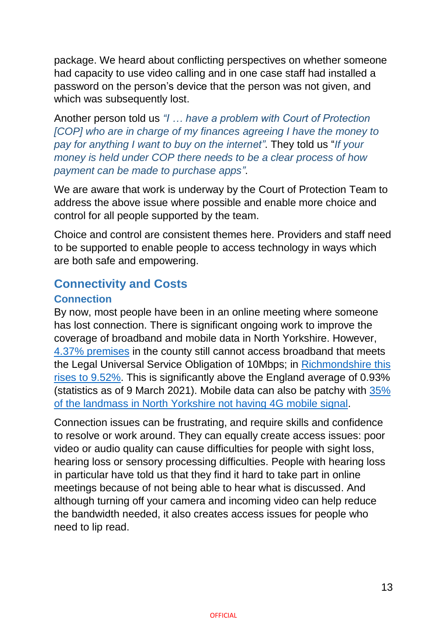package. We heard about conflicting perspectives on whether someone had capacity to use video calling and in one case staff had installed a password on the person's device that the person was not given, and which was subsequently lost.

Another person told us *"I … have a problem with Court of Protection [COP] who are in charge of my finances agreeing I have the money to pay for anything I want to buy on the internet"*. They told us "*If your money is held under COP there needs to be a clear process of how payment can be made to purchase apps"*.

We are aware that work is underway by the Court of Protection Team to address the above issue where possible and enable more choice and control for all people supported by the team.

Choice and control are consistent themes here. Providers and staff need to be supported to enable people to access technology in ways which are both safe and empowering.

# **Connectivity and Costs**

## **Connection**

By now, most people have been in an online meeting where someone has lost connection. There is significant ongoing work to improve the coverage of broadband and mobile data in North Yorkshire. However, [4.37% premises](https://labs.thinkbroadband.com/local/?area=E10000023) in the county still cannot access broadband that meets the Legal Universal Service Obligation of 10Mbps; in [Richmondshire this](https://labs.thinkbroadband.com/local/E07000166)  [rises to](https://labs.thinkbroadband.com/local/E07000166) 9.52%. This is significantly above the England average of 0.93% (statistics as of 9 March 2021). Mobile data can also be patchy with [35%](https://www.northyorks.gov.uk/news/article/north-yorkshire-partners-win-ps6m-pilot-boost-rural-connectivity)  [of the landmass in North Yorkshire not having 4G mobile signal.](https://www.northyorks.gov.uk/news/article/north-yorkshire-partners-win-ps6m-pilot-boost-rural-connectivity)

Connection issues can be frustrating, and require skills and confidence to resolve or work around. They can equally create access issues: poor video or audio quality can cause difficulties for people with sight loss, hearing loss or sensory processing difficulties. People with hearing loss in particular have told us that they find it hard to take part in online meetings because of not being able to hear what is discussed. And although turning off your camera and incoming video can help reduce the bandwidth needed, it also creates access issues for people who need to lip read.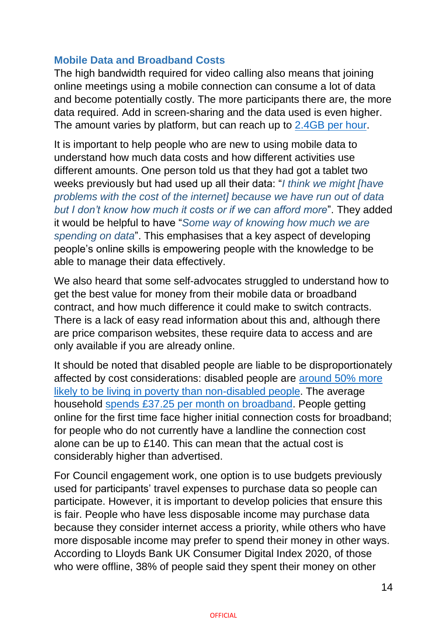#### **Mobile Data and Broadband Costs**

The high bandwidth required for video calling also means that joining online meetings using a mobile connection can consume a lot of data and become potentially costly. The more participants there are, the more data required. Add in screen-sharing and the data used is even higher. The amount varies by platform, but can reach up to [2.4GB per hour.](https://www.reviews.org/internet-service/how-much-data-does-zoom-use/)

It is important to help people who are new to using mobile data to understand how much data costs and how different activities use different amounts. One person told us that they had got a tablet two weeks previously but had used up all their data: "*I think we might [have problems with the cost of the internet] because we have run out of data but I don't know how much it costs or if we can afford more*". They added it would be helpful to have "*Some way of knowing how much we are spending on data*". This emphasises that a key aspect of developing people's online skills is empowering people with the knowledge to be able to manage their data effectively.

We also heard that some self-advocates struggled to understand how to get the best value for money from their mobile data or broadband contract, and how much difference it could make to switch contracts. There is a lack of easy read information about this and, although there are price comparison websites, these require data to access and are only available if you are already online.

It should be noted that disabled people are liable to be disproportionately affected by cost considerations: disabled people are [around 50% more](https://www.jrf.org.uk/data/poverty-rates-families-disabled-person)  [likely to be living in poverty than non-disabled people.](https://www.jrf.org.uk/data/poverty-rates-families-disabled-person) The average household [spends £37.25 per month on broadband.](https://www.ofcom.org.uk/about-ofcom/latest/media/media-releases/2020/4.7-million-uk-homes-have-struggled-to-afford-their-telecoms-bills-this-year) People getting online for the first time face higher initial connection costs for broadband; for people who do not currently have a landline the connection cost alone can be up to £140. This can mean that the actual cost is considerably higher than advertised.

For Council engagement work, one option is to use budgets previously used for participants' travel expenses to purchase data so people can participate. However, it is important to develop policies that ensure this is fair. People who have less disposable income may purchase data because they consider internet access a priority, while others who have more disposable income may prefer to spend their money in other ways. According to Lloyds Bank UK Consumer Digital Index 2020, of those who were offline, 38% of people said they spent their money on other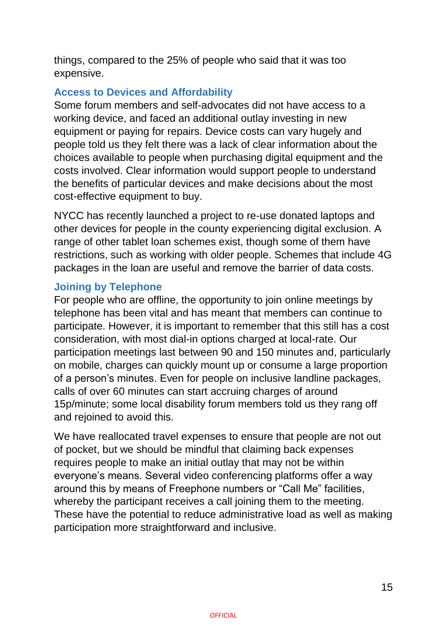things, compared to the 25% of people who said that it was too expensive.

#### **Access to Devices and Affordability**

Some forum members and self-advocates did not have access to a working device, and faced an additional outlay investing in new equipment or paying for repairs. Device costs can vary hugely and people told us they felt there was a lack of clear information about the choices available to people when purchasing digital equipment and the costs involved. Clear information would support people to understand the benefits of particular devices and make decisions about the most cost-effective equipment to buy.

NYCC has recently launched a project to re-use donated laptops and other devices for people in the county experiencing digital exclusion. A range of other tablet loan schemes exist, though some of them have restrictions, such as working with older people. Schemes that include 4G packages in the loan are useful and remove the barrier of data costs.

#### **Joining by Telephone**

For people who are offline, the opportunity to join online meetings by telephone has been vital and has meant that members can continue to participate. However, it is important to remember that this still has a cost consideration, with most dial-in options charged at local-rate. Our participation meetings last between 90 and 150 minutes and, particularly on mobile, charges can quickly mount up or consume a large proportion of a person's minutes. Even for people on inclusive landline packages, calls of over 60 minutes can start accruing charges of around 15p/minute; some local disability forum members told us they rang off and rejoined to avoid this.

We have reallocated travel expenses to ensure that people are not out of pocket, but we should be mindful that claiming back expenses requires people to make an initial outlay that may not be within everyone's means. Several video conferencing platforms offer a way around this by means of Freephone numbers or "Call Me" facilities, whereby the participant receives a call joining them to the meeting. These have the potential to reduce administrative load as well as making participation more straightforward and inclusive.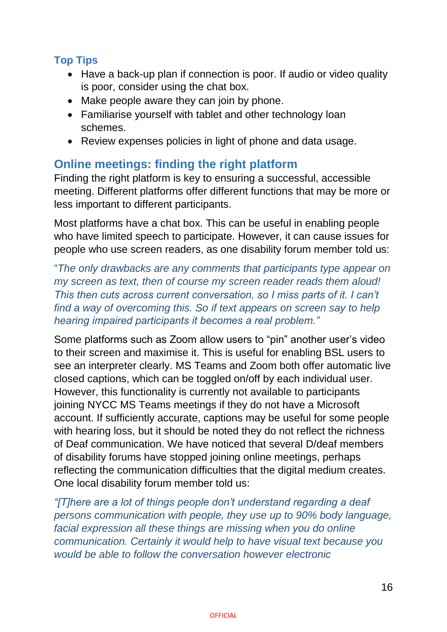## **Top Tips**

- Have a back-up plan if connection is poor. If audio or video quality is poor, consider using the chat box.
- Make people aware they can join by phone.
- Familiarise yourself with tablet and other technology loan schemes.
- Review expenses policies in light of phone and data usage.

# **Online meetings: finding the right platform**

Finding the right platform is key to ensuring a successful, accessible meeting. Different platforms offer different functions that may be more or less important to different participants.

Most platforms have a chat box. This can be useful in enabling people who have limited speech to participate. However, it can cause issues for people who use screen readers, as one disability forum member told us:

"*The only drawbacks are any comments that participants type appear on my screen as text, then of course my screen reader reads them aloud! This then cuts across current conversation, so I miss parts of it. I can't find a way of overcoming this. So if text appears on screen say to help hearing impaired participants it becomes a real problem."*

Some platforms such as Zoom allow users to "pin" another user's video to their screen and maximise it. This is useful for enabling BSL users to see an interpreter clearly. MS Teams and Zoom both offer automatic live closed captions, which can be toggled on/off by each individual user. However, this functionality is currently not available to participants joining NYCC MS Teams meetings if they do not have a Microsoft account. If sufficiently accurate, captions may be useful for some people with hearing loss, but it should be noted they do not reflect the richness of Deaf communication. We have noticed that several D/deaf members of disability forums have stopped joining online meetings, perhaps reflecting the communication difficulties that the digital medium creates. One local disability forum member told us:

*"[T]here are a lot of things people don't understand regarding a deaf persons communication with people, they use up to 90% body language, facial expression all these things are missing when you do online communication. Certainly it would help to have visual text because you would be able to follow the conversation however electronic*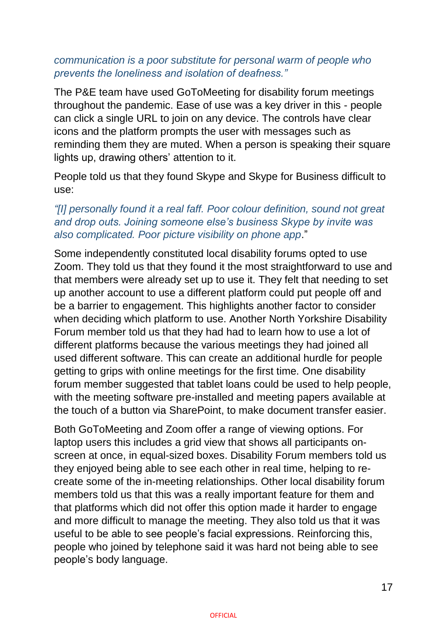#### *communication is a poor substitute for personal warm of people who prevents the loneliness and isolation of deafness."*

The P&E team have used GoToMeeting for disability forum meetings throughout the pandemic. Ease of use was a key driver in this - people can click a single URL to join on any device. The controls have clear icons and the platform prompts the user with messages such as reminding them they are muted. When a person is speaking their square lights up, drawing others' attention to it.

People told us that they found Skype and Skype for Business difficult to use:

#### *"[I] personally found it a real faff. Poor colour definition, sound not great and drop outs. Joining someone else's business Skype by invite was also complicated. Poor picture visibility on phone app*."

Some independently constituted local disability forums opted to use Zoom. They told us that they found it the most straightforward to use and that members were already set up to use it. They felt that needing to set up another account to use a different platform could put people off and be a barrier to engagement. This highlights another factor to consider when deciding which platform to use. Another North Yorkshire Disability Forum member told us that they had had to learn how to use a lot of different platforms because the various meetings they had joined all used different software. This can create an additional hurdle for people getting to grips with online meetings for the first time. One disability forum member suggested that tablet loans could be used to help people, with the meeting software pre-installed and meeting papers available at the touch of a button via SharePoint, to make document transfer easier.

Both GoToMeeting and Zoom offer a range of viewing options. For laptop users this includes a grid view that shows all participants onscreen at once, in equal-sized boxes. Disability Forum members told us they enjoyed being able to see each other in real time, helping to recreate some of the in-meeting relationships. Other local disability forum members told us that this was a really important feature for them and that platforms which did not offer this option made it harder to engage and more difficult to manage the meeting. They also told us that it was useful to be able to see people's facial expressions. Reinforcing this, people who joined by telephone said it was hard not being able to see people's body language.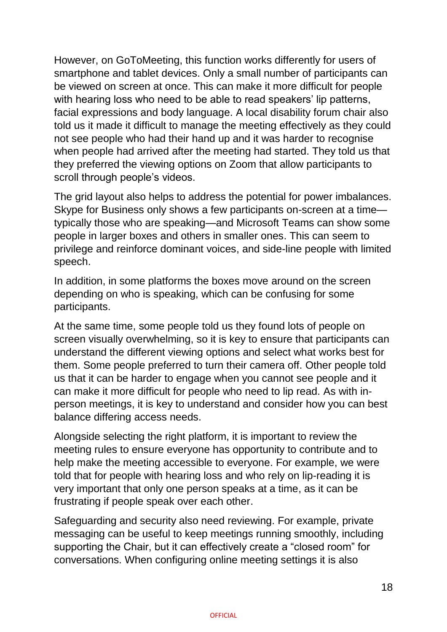However, on GoToMeeting, this function works differently for users of smartphone and tablet devices. Only a small number of participants can be viewed on screen at once. This can make it more difficult for people with hearing loss who need to be able to read speakers' lip patterns, facial expressions and body language. A local disability forum chair also told us it made it difficult to manage the meeting effectively as they could not see people who had their hand up and it was harder to recognise when people had arrived after the meeting had started. They told us that they preferred the viewing options on Zoom that allow participants to scroll through people's videos.

The grid layout also helps to address the potential for power imbalances. Skype for Business only shows a few participants on-screen at a time typically those who are speaking—and Microsoft Teams can show some people in larger boxes and others in smaller ones. This can seem to privilege and reinforce dominant voices, and side-line people with limited speech.

In addition, in some platforms the boxes move around on the screen depending on who is speaking, which can be confusing for some participants.

At the same time, some people told us they found lots of people on screen visually overwhelming, so it is key to ensure that participants can understand the different viewing options and select what works best for them. Some people preferred to turn their camera off. Other people told us that it can be harder to engage when you cannot see people and it can make it more difficult for people who need to lip read. As with inperson meetings, it is key to understand and consider how you can best balance differing access needs.

Alongside selecting the right platform, it is important to review the meeting rules to ensure everyone has opportunity to contribute and to help make the meeting accessible to everyone. For example, we were told that for people with hearing loss and who rely on lip-reading it is very important that only one person speaks at a time, as it can be frustrating if people speak over each other.

Safeguarding and security also need reviewing. For example, private messaging can be useful to keep meetings running smoothly, including supporting the Chair, but it can effectively create a "closed room" for conversations. When configuring online meeting settings it is also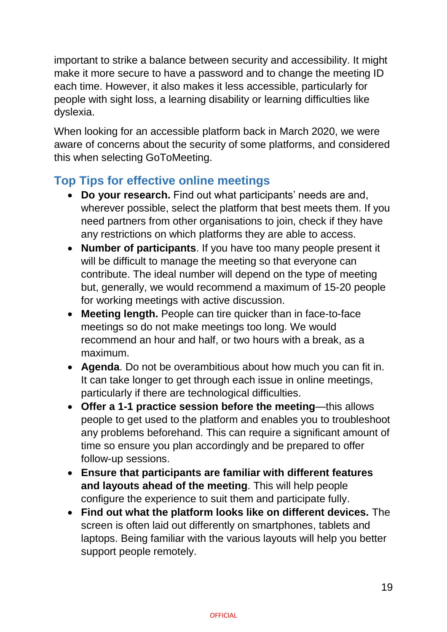important to strike a balance between security and accessibility. It might make it more secure to have a password and to change the meeting ID each time. However, it also makes it less accessible, particularly for people with sight loss, a learning disability or learning difficulties like dyslexia.

When looking for an accessible platform back in March 2020, we were aware of concerns about the security of some platforms, and considered this when selecting GoToMeeting.

# **Top Tips for effective online meetings**

- **Do your research.** Find out what participants' needs are and, wherever possible, select the platform that best meets them. If you need partners from other organisations to join, check if they have any restrictions on which platforms they are able to access.
- **Number of participants**. If you have too many people present it will be difficult to manage the meeting so that everyone can contribute. The ideal number will depend on the type of meeting but, generally, we would recommend a maximum of 15-20 people for working meetings with active discussion.
- **Meeting length.** People can tire quicker than in face-to-face meetings so do not make meetings too long. We would recommend an hour and half, or two hours with a break, as a maximum.
- **Agenda**. Do not be overambitious about how much you can fit in. It can take longer to get through each issue in online meetings, particularly if there are technological difficulties.
- **Offer a 1-1 practice session before the meeting**—this allows people to get used to the platform and enables you to troubleshoot any problems beforehand. This can require a significant amount of time so ensure you plan accordingly and be prepared to offer follow-up sessions.
- **Ensure that participants are familiar with different features and layouts ahead of the meeting**. This will help people configure the experience to suit them and participate fully.
- **Find out what the platform looks like on different devices.** The screen is often laid out differently on smartphones, tablets and laptops. Being familiar with the various layouts will help you better support people remotely.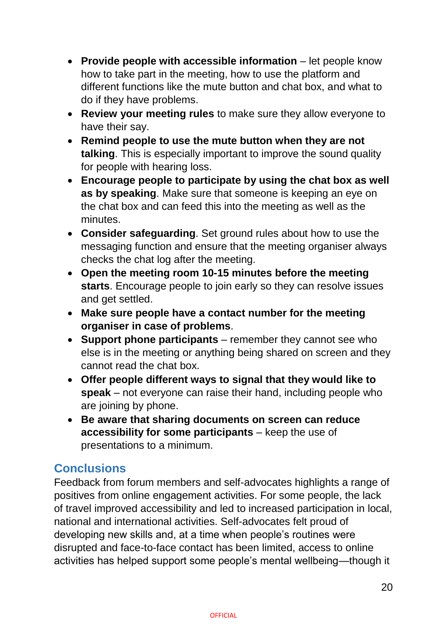- **Provide people with accessible information** let people know how to take part in the meeting, how to use the platform and different functions like the mute button and chat box, and what to do if they have problems.
- **Review your meeting rules** to make sure they allow everyone to have their say.
- **Remind people to use the mute button when they are not talking**. This is especially important to improve the sound quality for people with hearing loss.
- **Encourage people to participate by using the chat box as well as by speaking**. Make sure that someone is keeping an eye on the chat box and can feed this into the meeting as well as the minutes.
- **Consider safeguarding**. Set ground rules about how to use the messaging function and ensure that the meeting organiser always checks the chat log after the meeting.
- **Open the meeting room 10-15 minutes before the meeting starts**. Encourage people to join early so they can resolve issues and get settled.
- **Make sure people have a contact number for the meeting organiser in case of problems**.
- **Support phone participants** remember they cannot see who else is in the meeting or anything being shared on screen and they cannot read the chat box.
- **Offer people different ways to signal that they would like to speak** – not everyone can raise their hand, including people who are joining by phone.
- **Be aware that sharing documents on screen can reduce accessibility for some participants** – keep the use of presentations to a minimum.

# **Conclusions**

Feedback from forum members and self-advocates highlights a range of positives from online engagement activities. For some people, the lack of travel improved accessibility and led to increased participation in local, national and international activities. Self-advocates felt proud of developing new skills and, at a time when people's routines were disrupted and face-to-face contact has been limited, access to online activities has helped support some people's mental wellbeing—though it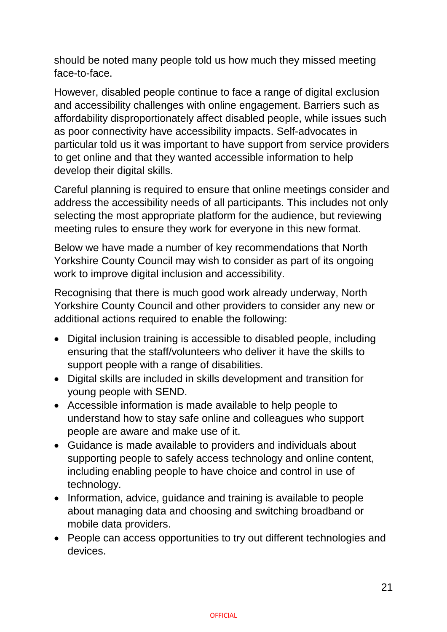should be noted many people told us how much they missed meeting face-to-face.

However, disabled people continue to face a range of digital exclusion and accessibility challenges with online engagement. Barriers such as affordability disproportionately affect disabled people, while issues such as poor connectivity have accessibility impacts. Self-advocates in particular told us it was important to have support from service providers to get online and that they wanted accessible information to help develop their digital skills.

Careful planning is required to ensure that online meetings consider and address the accessibility needs of all participants. This includes not only selecting the most appropriate platform for the audience, but reviewing meeting rules to ensure they work for everyone in this new format.

Below we have made a number of key recommendations that North Yorkshire County Council may wish to consider as part of its ongoing work to improve digital inclusion and accessibility.

Recognising that there is much good work already underway, North Yorkshire County Council and other providers to consider any new or additional actions required to enable the following:

- Digital inclusion training is accessible to disabled people, including ensuring that the staff/volunteers who deliver it have the skills to support people with a range of disabilities.
- Digital skills are included in skills development and transition for young people with SEND.
- Accessible information is made available to help people to understand how to stay safe online and colleagues who support people are aware and make use of it.
- Guidance is made available to providers and individuals about supporting people to safely access technology and online content, including enabling people to have choice and control in use of technology.
- Information, advice, quidance and training is available to people about managing data and choosing and switching broadband or mobile data providers.
- People can access opportunities to try out different technologies and devices.